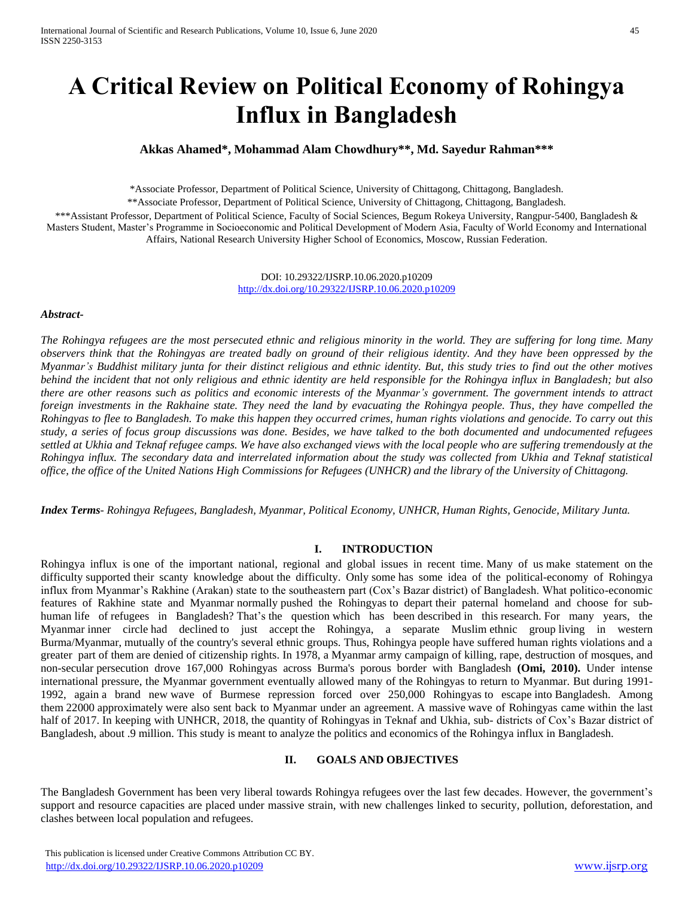# **A Critical Review on Political Economy of Rohingya Influx in Bangladesh**

## **Akkas Ahamed\*, Mohammad Alam Chowdhury\*\*, Md. Sayedur Rahman\*\*\***

\*Associate Professor, Department of Political Science, University of Chittagong, Chittagong, Bangladesh.

\*\*Associate Professor, Department of Political Science, University of Chittagong, Chittagong, Bangladesh.

\*\*\*Assistant Professor, Department of Political Science, Faculty of Social Sciences, Begum Rokeya University, Rangpur-5400, Bangladesh & Masters Student, Master's Programme in Socioeconomic and Political Development of Modern Asia, Faculty of World Economy and International Affairs, National Research University Higher School of Economics, Moscow, Russian Federation.

> DOI: 10.29322/IJSRP.10.06.2020.p10209 <http://dx.doi.org/10.29322/IJSRP.10.06.2020.p10209>

#### *Abstract-*

*The Rohingya refugees are the most persecuted ethnic and religious minority in the world. They are suffering for long time. Many observers think that the Rohingyas are treated badly on ground of their religious identity. And they have been oppressed by the Myanmar's Buddhist military junta for their distinct religious and ethnic identity. But, this study tries to find out the other motives behind the incident that not only religious and ethnic identity are held responsible for the Rohingya influx in Bangladesh; but also there are other reasons such as politics and economic interests of the Myanmar's government. The government intends to attract foreign investments in the Rakhaine state. They need the land by evacuating the Rohingya people. Thus, they have compelled the Rohingyas to flee to Bangladesh. To make this happen they occurred crimes, human rights violations and genocide. To carry out this study, a series of focus group discussions was done. Besides, we have talked to the both documented and undocumented refugees settled at Ukhia and Teknaf refugee camps. We have also exchanged views with the local people who are suffering tremendously at the Rohingya influx. The secondary data and interrelated information about the study was collected from Ukhia and Teknaf statistical office, the office of the United Nations High Commissions for Refugees (UNHCR) and the library of the University of Chittagong.* 

*Index Terms- Rohingya Refugees, Bangladesh, Myanmar, Political Economy, UNHCR, Human Rights, Genocide, Military Junta.*

## **I. INTRODUCTION**

Rohingya influx is one of the important national, regional and global issues in recent time. Many of us make statement on the difficulty supported their scanty knowledge about the difficulty. Only some has some idea of the political-economy of Rohingya influx from Myanmar's Rakhine (Arakan) state to the southeastern part (Cox's Bazar district) of Bangladesh. What politico-economic features of Rakhine state and Myanmar normally pushed the Rohingyas to depart their paternal homeland and choose for subhuman life of refugees in Bangladesh? That's the question which has been described in this research. For many years, the Myanmar inner circle had declined to just accept the Rohingya, a separate Muslim ethnic group living in western Burma/Myanmar, mutually of the country's several ethnic groups. Thus, Rohingya people have suffered human rights violations and a greater part of them are denied of citizenship rights. In 1978, a Myanmar army campaign of killing, rape, destruction of mosques, and non-secular persecution drove 167,000 Rohingyas across Burma's porous border with Bangladesh **(Omi, 2010).** Under intense international pressure, the Myanmar government eventually allowed many of the Rohingyas to return to Myanmar. But during 1991- 1992, again a brand new wave of Burmese repression forced over 250,000 Rohingyas to escape into Bangladesh. Among them 22000 approximately were also sent back to Myanmar under an agreement. A massive wave of Rohingyas came within the last half of 2017. In keeping with UNHCR, 2018, the quantity of Rohingyas in Teknaf and Ukhia, sub- districts of Cox's Bazar district of Bangladesh, about .9 million. This study is meant to analyze the politics and economics of the Rohingya influx in Bangladesh.

## **II. GOALS AND OBJECTIVES**

The Bangladesh Government has been very liberal towards Rohingya refugees over the last few decades. However, the government's support and resource capacities are placed under massive strain, with new challenges linked to security, pollution, deforestation, and clashes between local population and refugees.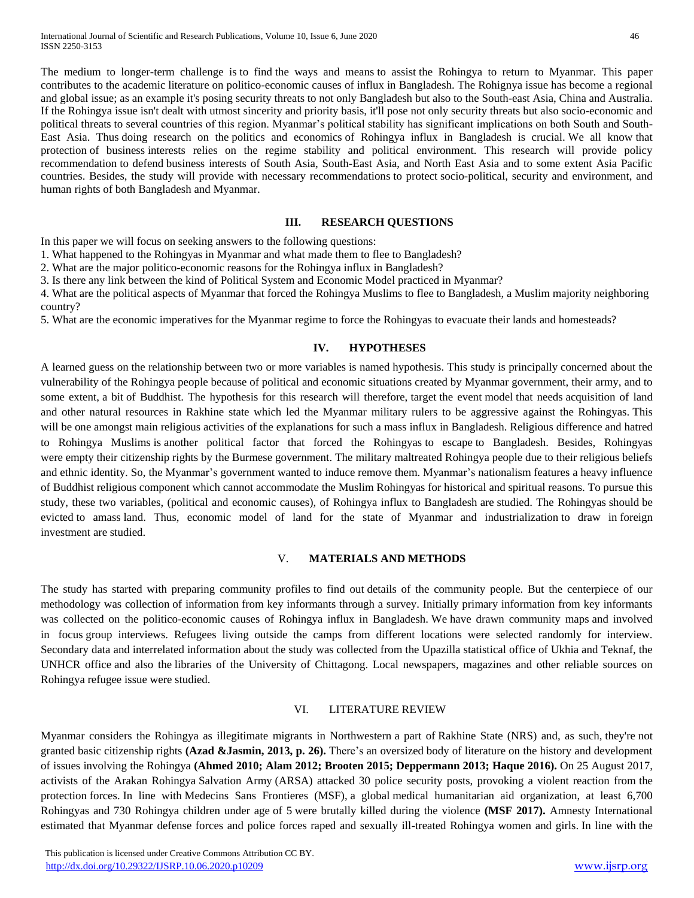The medium to longer-term challenge is to find the ways and means to assist the Rohingya to return to Myanmar. This paper contributes to the academic literature on politico-economic causes of influx in Bangladesh. The Rohignya issue has become a regional and global issue; as an example it's posing security threats to not only Bangladesh but also to the South-east Asia, China and Australia. If the Rohingya issue isn't dealt with utmost sincerity and priority basis, it'll pose not only security threats but also socio-economic and political threats to several countries of this region. Myanmar's political stability has significant implications on both South and South-East Asia. Thus doing research on the politics and economics of Rohingya influx in Bangladesh is crucial. We all know that protection of business interests relies on the regime stability and political environment. This research will provide policy recommendation to defend business interests of South Asia, South-East Asia, and North East Asia and to some extent Asia Pacific countries. Besides, the study will provide with necessary recommendations to protect socio-political, security and environment, and human rights of both Bangladesh and Myanmar.

#### **III. RESEARCH QUESTIONS**

In this paper we will focus on seeking answers to the following questions:

1. What happened to the Rohingyas in Myanmar and what made them to flee to Bangladesh?

2. What are the major politico-economic reasons for the Rohingya influx in Bangladesh?

3. Is there any link between the kind of Political System and Economic Model practiced in Myanmar?

4. What are the political aspects of Myanmar that forced the Rohingya Muslims to flee to Bangladesh, a Muslim majority neighboring country?

5. What are the economic imperatives for the Myanmar regime to force the Rohingyas to evacuate their lands and homesteads?

### **IV. HYPOTHESES**

A learned guess on the relationship between two or more variables is named hypothesis. This study is principally concerned about the vulnerability of the Rohingya people because of political and economic situations created by Myanmar government, their army, and to some extent, a bit of Buddhist. The hypothesis for this research will therefore, target the event model that needs acquisition of land and other natural resources in Rakhine state which led the Myanmar military rulers to be aggressive against the Rohingyas. This will be one amongst main religious activities of the explanations for such a mass influx in Bangladesh. Religious difference and hatred to Rohingya Muslims is another political factor that forced the Rohingyas to escape to Bangladesh. Besides, Rohingyas were empty their citizenship rights by the Burmese government. The military maltreated Rohingya people due to their religious beliefs and ethnic identity. So, the Myanmar's government wanted to induce remove them. Myanmar's nationalism features a heavy influence of Buddhist religious component which cannot accommodate the Muslim Rohingyas for historical and spiritual reasons. To pursue this study, these two variables, (political and economic causes), of Rohingya influx to Bangladesh are studied. The Rohingyas should be evicted to amass land. Thus, economic model of land for the state of Myanmar and industrialization to draw in foreign investment are studied.

## V. **MATERIALS AND METHODS**

The study has started with preparing community profiles to find out details of the community people. But the centerpiece of our methodology was collection of information from key informants through a survey. Initially primary information from key informants was collected on the politico-economic causes of Rohingya influx in Bangladesh. We have drawn community maps and involved in focus group interviews. Refugees living outside the camps from different locations were selected randomly for interview. Secondary data and interrelated information about the study was collected from the Upazilla statistical office of Ukhia and Teknaf, the UNHCR office and also the libraries of the University of Chittagong. Local newspapers, magazines and other reliable sources on Rohingya refugee issue were studied.

### VI. LITERATURE REVIEW

Myanmar considers the Rohingya as illegitimate migrants in Northwestern a part of Rakhine State (NRS) and, as such, they're not granted basic citizenship rights **(Azad &Jasmin, 2013, p. 26).** There's an oversized body of literature on the history and development of issues involving the Rohingya **(Ahmed 2010; Alam 2012; Brooten 2015; Deppermann 2013; Haque 2016).** On 25 August 2017, activists of the Arakan Rohingya Salvation Army (ARSA) attacked 30 police security posts, provoking a violent reaction from the protection forces. In line with Medecins Sans Frontieres (MSF), a global medical humanitarian aid organization, at least 6,700 Rohingyas and 730 Rohingya children under age of 5 were brutally killed during the violence **(MSF 2017).** Amnesty International estimated that Myanmar defense forces and police forces raped and sexually ill-treated Rohingya women and girls. In line with the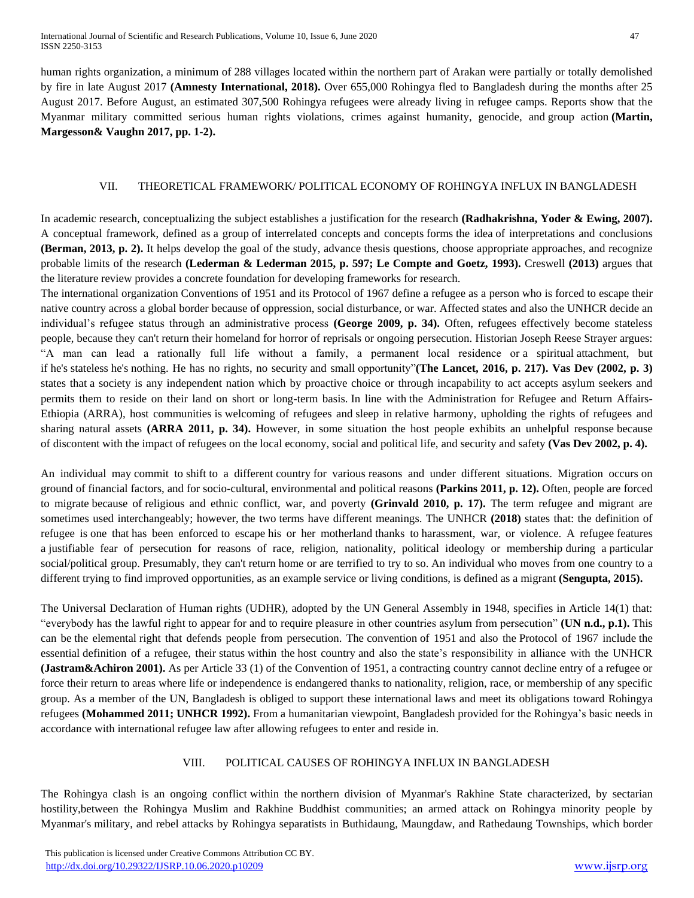human rights organization, a minimum of 288 villages located within the northern part of Arakan were partially or totally demolished by fire in late August 2017 **(Amnesty International, 2018).** Over 655,000 Rohingya fled to Bangladesh during the months after 25 August 2017. Before August, an estimated 307,500 Rohingya refugees were already living in refugee camps. Reports show that the Myanmar military committed serious human rights violations, crimes against humanity, genocide, and group action **(Martin, Margesson& Vaughn 2017, pp. 1-2).**

## VII. THEORETICAL FRAMEWORK/ POLITICAL ECONOMY OF ROHINGYA INFLUX IN BANGLADESH

In academic research, conceptualizing the subject establishes a justification for the research **(Radhakrishna, Yoder & Ewing, 2007).** A conceptual framework, defined as a group of interrelated concepts and concepts forms the idea of interpretations and conclusions **(Berman, 2013, p. 2).** It helps develop the goal of the study, advance thesis questions, choose appropriate approaches, and recognize probable limits of the research **(Lederman & Lederman 2015, p. 597; Le Compte and Goetz, 1993).** Creswell **(2013)** argues that the literature review provides a concrete foundation for developing frameworks for research.

The international organization Conventions of 1951 and its Protocol of 1967 define a refugee as a person who is forced to escape their native country across a global border because of oppression, social disturbance, or war. Affected states and also the UNHCR decide an individual's refugee status through an administrative process **(George 2009, p. 34).** Often, refugees effectively become stateless people, because they can't return their homeland for horror of reprisals or ongoing persecution. Historian Joseph Reese Strayer argues: "A man can lead a rationally full life without a family, a permanent local residence or a spiritual attachment, but if he's stateless he's nothing. He has no rights, no security and small opportunity"**(The Lancet, 2016, p. 217). Vas Dev (2002, p. 3)** states that a society is any independent nation which by proactive choice or through incapability to act accepts asylum seekers and permits them to reside on their land on short or long-term basis. In line with the Administration for Refugee and Return Affairs-Ethiopia (ARRA), host communities is welcoming of refugees and sleep in relative harmony, upholding the rights of refugees and sharing natural assets **(ARRA 2011, p. 34).** However, in some situation the host people exhibits an unhelpful response because of discontent with the impact of refugees on the local economy, social and political life, and security and safety **(Vas Dev 2002, p. 4).**

An individual may commit to shift to a different country for various reasons and under different situations. Migration occurs on ground of financial factors, and for socio-cultural, environmental and political reasons **(Parkins 2011, p. 12).** Often, people are forced to migrate because of religious and ethnic conflict, war, and poverty **(Grinvald 2010, p. 17).** The term refugee and migrant are sometimes used interchangeably; however, the two terms have different meanings. The UNHCR **(2018)** states that: the definition of refugee is one that has been enforced to escape his or her motherland thanks to harassment, war, or violence. A refugee features a justifiable fear of persecution for reasons of race, religion, nationality, political ideology or membership during a particular social/political group. Presumably, they can't return home or are terrified to try to so. An individual who moves from one country to a different trying to find improved opportunities, as an example service or living conditions, is defined as a migrant **(Sengupta, 2015).**

The Universal Declaration of Human rights (UDHR), adopted by the UN General Assembly in 1948, specifies in Article 14(1) that: "everybody has the lawful right to appear for and to require pleasure in other countries asylum from persecution" **(UN n.d., p.1).** This can be the elemental right that defends people from persecution. The convention of 1951 and also the Protocol of 1967 include the essential definition of a refugee, their status within the host country and also the state's responsibility in alliance with the UNHCR **(Jastram&Achiron 2001).** As per Article 33 (1) of the Convention of 1951, a contracting country cannot decline entry of a refugee or force their return to areas where life or independence is endangered thanks to nationality, religion, race, or membership of any specific group. As a member of the UN, Bangladesh is obliged to support these international laws and meet its obligations toward Rohingya refugees **(Mohammed 2011; UNHCR 1992).** From a humanitarian viewpoint, Bangladesh provided for the Rohingya's basic needs in accordance with international refugee law after allowing refugees to enter and reside in.

## VIII. POLITICAL CAUSES OF ROHINGYA INFLUX IN BANGLADESH

The Rohingya clash is an ongoing conflict within the northern division of Myanmar's Rakhine State characterized, by sectarian hostility,between the Rohingya Muslim and Rakhine Buddhist communities; an armed attack on Rohingya minority people by Myanmar's military, and rebel attacks by Rohingya separatists in Buthidaung, Maungdaw, and Rathedaung Townships, which border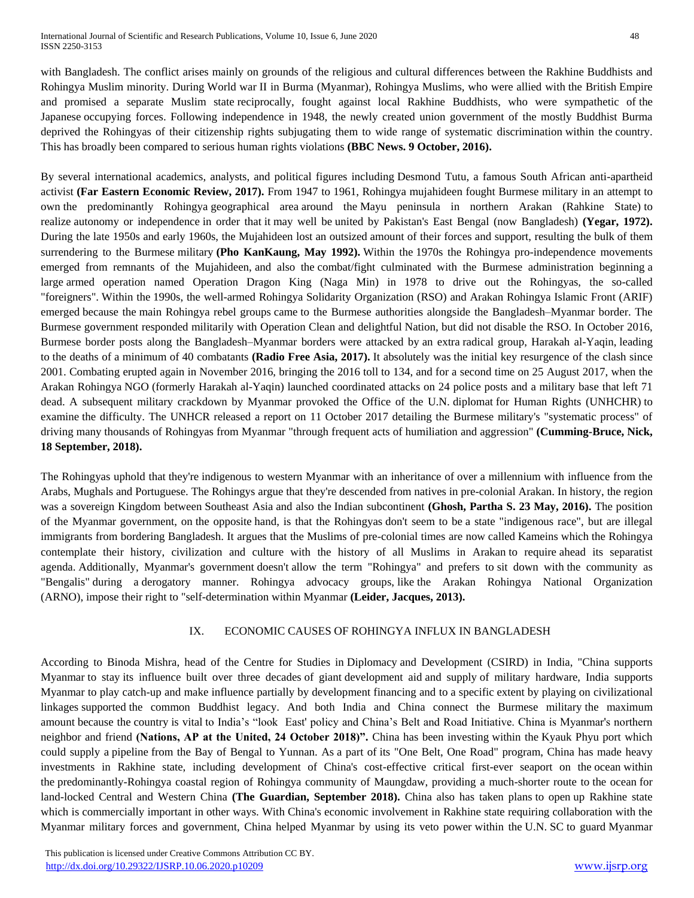with Bangladesh. The conflict arises mainly on grounds of the religious and cultural differences between the Rakhine Buddhists and Rohingya Muslim minority. During World war II in Burma (Myanmar), Rohingya Muslims, who were allied with the British Empire and promised a separate Muslim state reciprocally, fought against local Rakhine Buddhists, who were sympathetic of the Japanese occupying forces. Following independence in 1948, the newly created union government of the mostly Buddhist Burma deprived the Rohingyas of their citizenship rights subjugating them to wide range of systematic discrimination within the country. This has broadly been compared to serious human rights violations **(BBC News. 9 October, 2016).**

By several international academics, analysts, and political figures including Desmond Tutu, a famous South African anti-apartheid activist **(Far Eastern Economic Review, 2017).** From 1947 to 1961, Rohingya mujahideen fought Burmese military in an attempt to own the predominantly Rohingya geographical area around the Mayu peninsula in northern Arakan (Rahkine State) to realize autonomy or independence in order that it may well be united by Pakistan's East Bengal (now Bangladesh) **(Yegar, 1972).** During the late 1950s and early 1960s, the Mujahideen lost an outsized amount of their forces and support, resulting the bulk of them surrendering to the Burmese military **(Pho KanKaung, May 1992).** Within the 1970s the Rohingya pro-independence movements emerged from remnants of the Mujahideen, and also the combat/fight culminated with the Burmese administration beginning a large armed operation named Operation Dragon King (Naga Min) in 1978 to drive out the Rohingyas, the so-called "foreigners". Within the 1990s, the well-armed Rohingya Solidarity Organization (RSO) and Arakan Rohingya Islamic Front (ARIF) emerged because the main Rohingya rebel groups came to the Burmese authorities alongside the Bangladesh–Myanmar border. The Burmese government responded militarily with Operation Clean and delightful Nation, but did not disable the RSO. In October 2016, Burmese border posts along the Bangladesh–Myanmar borders were attacked by an extra radical group, Harakah al-Yaqin, leading to the deaths of a minimum of 40 combatants **(Radio Free Asia, 2017).** It absolutely was the initial key resurgence of the clash since 2001. Combating erupted again in November 2016, bringing the 2016 toll to 134, and for a second time on 25 August 2017, when the Arakan Rohingya NGO (formerly Harakah al-Yaqin) launched coordinated attacks on 24 police posts and a military base that left 71 dead. A subsequent military crackdown by Myanmar provoked the Office of the U.N. diplomat for Human Rights (UNHCHR) to examine the difficulty. The UNHCR released a report on 11 October 2017 detailing the Burmese military's "systematic process" of driving many thousands of Rohingyas from Myanmar "through frequent acts of humiliation and aggression" **(Cumming-Bruce, Nick, 18 September, 2018).**

The Rohingyas uphold that they're indigenous to western Myanmar with an inheritance of over a millennium with influence from the Arabs, Mughals and Portuguese. The Rohingys argue that they're descended from natives in pre-colonial Arakan. In history, the region was a sovereign Kingdom between Southeast Asia and also the Indian subcontinent **(Ghosh, Partha S. 23 May, 2016).** The position of the Myanmar government, on the opposite hand, is that the Rohingyas don't seem to be a state "indigenous race", but are illegal immigrants from bordering Bangladesh. It argues that the Muslims of pre-colonial times are now called Kameins which the Rohingya contemplate their history, civilization and culture with the history of all Muslims in Arakan to require ahead its separatist agenda. Additionally, Myanmar's government doesn't allow the term "Rohingya" and prefers to sit down with the community as "Bengalis" during a derogatory manner. Rohingya advocacy groups, like the Arakan Rohingya National Organization (ARNO), impose their right to "self-determination within Myanmar **(Leider, Jacques, 2013).**

## IX. ECONOMIC CAUSES OF ROHINGYA INFLUX IN BANGLADESH

According to Binoda Mishra, head of the Centre for Studies in Diplomacy and Development (CSIRD) in India, "China supports Myanmar to stay its influence built over three decades of giant development aid and supply of military hardware, India supports Myanmar to play catch-up and make influence partially by development financing and to a specific extent by playing on civilizational linkages supported the common Buddhist legacy. And both India and China connect the Burmese military the maximum amount because the country is vital to India's "look East' policy and China's Belt and Road Initiative. China is Myanmar's northern neighbor and friend **(Nations, AP at the United, 24 October 2018)".** China has been investing within the Kyauk Phyu port which could supply a pipeline from the Bay of Bengal to Yunnan. As a part of its "One Belt, One Road" program, China has made heavy investments in Rakhine state, including development of China's cost-effective critical first-ever seaport on the ocean within the predominantly-Rohingya coastal region of Rohingya community of Maungdaw, providing a much-shorter route to the ocean for land-locked Central and Western China **(The Guardian, September 2018).** China also has taken plans to open up Rakhine state which is commercially important in other ways. With China's economic involvement in Rakhine state requiring collaboration with the Myanmar military forces and government, China helped Myanmar by using its veto power within the U.N. SC to guard Myanmar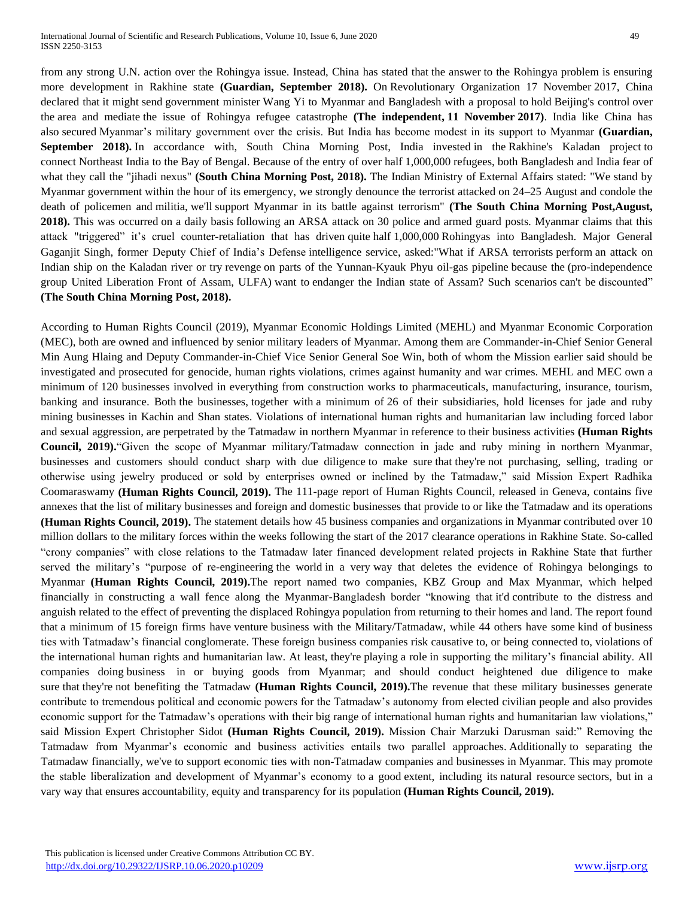from any strong U.N. action over the Rohingya issue. Instead, China has stated that the answer to the Rohingya problem is ensuring more development in Rakhine state **(Guardian, September 2018).** On Revolutionary Organization 17 November 2017, China declared that it might send government minister Wang Yi to Myanmar and Bangladesh with a proposal to hold Beijing's control over the area and mediate the issue of Rohingya refugee catastrophe **(The independent, 11 November 2017)**. India like China has also secured Myanmar's military government over the crisis. But India has become modest in its support to Myanmar **(Guardian, September 2018).** In accordance with, South China Morning Post, India invested in the Rakhine's Kaladan project to connect Northeast India to the Bay of Bengal. Because of the entry of over half 1,000,000 refugees, both Bangladesh and India fear of what they call the "jihadi nexus" **(South China Morning Post, 2018).** The Indian Ministry of External Affairs stated: "We stand by Myanmar government within the hour of its emergency, we strongly denounce the terrorist attacked on 24–25 August and condole the death of policemen and militia, we'll support Myanmar in its battle against terrorism" **(The South China Morning Post,August, 2018).** This was occurred on a daily basis following an ARSA attack on 30 police and armed guard posts. Myanmar claims that this attack "triggered" it's cruel counter-retaliation that has driven quite half 1,000,000 Rohingyas into Bangladesh. Major General Gaganjit Singh, former Deputy Chief of India's Defense intelligence service, asked:"What if ARSA terrorists perform an attack on Indian ship on the Kaladan river or try revenge on parts of the Yunnan-Kyauk Phyu oil-gas pipeline because the (pro-independence group United Liberation Front of Assam, ULFA) want to endanger the Indian state of Assam? Such scenarios can't be discounted" **(The South China Morning Post, 2018).**

According to Human Rights Council (2019), Myanmar Economic Holdings Limited (MEHL) and Myanmar Economic Corporation (MEC), both are owned and influenced by senior military leaders of Myanmar. Among them are Commander-in-Chief Senior General Min Aung Hlaing and Deputy Commander-in-Chief Vice Senior General Soe Win, both of whom the Mission earlier said should be investigated and prosecuted for genocide, human rights violations, crimes against humanity and war crimes. MEHL and MEC own a minimum of 120 businesses involved in everything from construction works to pharmaceuticals, manufacturing, insurance, tourism, banking and insurance. Both the businesses, together with a minimum of 26 of their subsidiaries, hold licenses for jade and ruby mining businesses in Kachin and Shan states. Violations of international human rights and humanitarian law including forced labor and sexual aggression, are perpetrated by the Tatmadaw in northern Myanmar in reference to their business activities **(Human Rights Council, 2019).**"Given the scope of Myanmar military/Tatmadaw connection in jade and ruby mining in northern Myanmar, businesses and customers should conduct sharp with due diligence to make sure that they're not purchasing, selling, trading or otherwise using jewelry produced or sold by enterprises owned or inclined by the Tatmadaw," said Mission Expert Radhika Coomaraswamy **(Human Rights Council, 2019).** The 111-page report of Human Rights Council, released in Geneva, contains five annexes that the list of military businesses and foreign and domestic businesses that provide to or like the Tatmadaw and its operations **(Human Rights Council, 2019).** The statement details how 45 business companies and organizations in Myanmar contributed over 10 million dollars to the military forces within the weeks following the start of the 2017 clearance operations in Rakhine State. So-called "crony companies" with close relations to the Tatmadaw later financed development related projects in Rakhine State that further served the military's "purpose of re-engineering the world in a very way that deletes the evidence of Rohingya belongings to Myanmar **(Human Rights Council, 2019).**The report named two companies, KBZ Group and Max Myanmar, which helped financially in constructing a wall fence along the Myanmar-Bangladesh border "knowing that it'd contribute to the distress and anguish related to the effect of preventing the displaced Rohingya population from returning to their homes and land. The report found that a minimum of 15 foreign firms have venture business with the Military/Tatmadaw, while 44 others have some kind of business ties with Tatmadaw's financial conglomerate. These foreign business companies risk causative to, or being connected to, violations of the international human rights and humanitarian law. At least, they're playing a role in supporting the military's financial ability. All companies doing business in or buying goods from Myanmar; and should conduct heightened due diligence to make sure that they're not benefiting the Tatmadaw (Human Rights Council, 2019). The revenue that these military businesses generate contribute to tremendous political and economic powers for the Tatmadaw's autonomy from elected civilian people and also provides economic support for the Tatmadaw's operations with their big range of international human rights and humanitarian law violations," said Mission Expert Christopher Sidot **(Human Rights Council, 2019).** Mission Chair Marzuki Darusman said:" Removing the Tatmadaw from Myanmar's economic and business activities entails two parallel approaches. Additionally to separating the Tatmadaw financially, we've to support economic ties with non-Tatmadaw companies and businesses in Myanmar. This may promote the stable liberalization and development of Myanmar's economy to a good extent, including its natural resource sectors, but in a vary way that ensures accountability, equity and transparency for its population **(Human Rights Council, 2019).**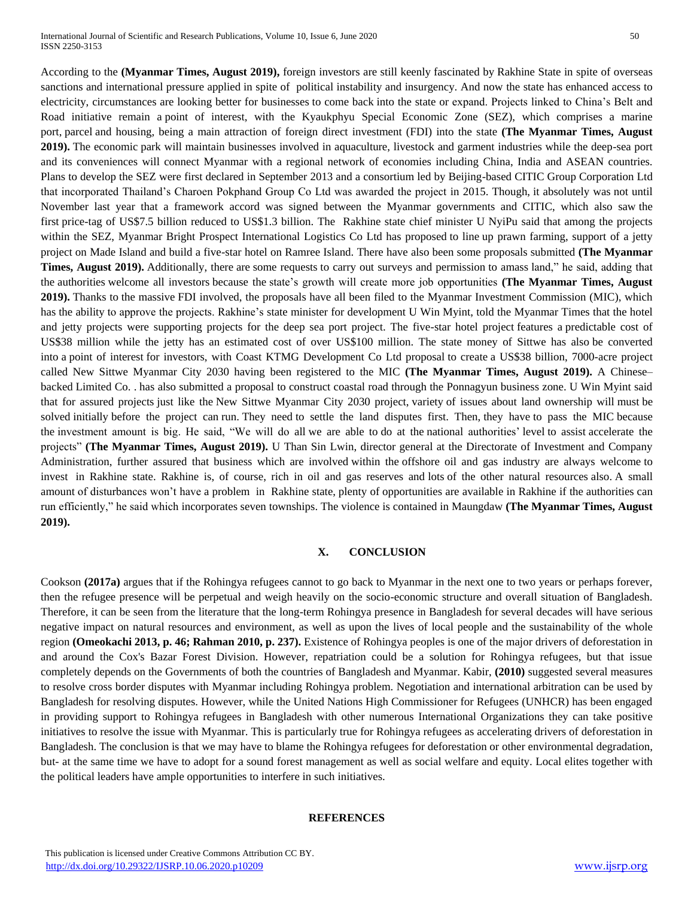According to the **(Myanmar Times, August 2019),** foreign investors are still keenly fascinated by Rakhine State in spite of overseas sanctions and international pressure applied in spite of political instability and insurgency. And now the state has enhanced access to electricity, circumstances are looking better for businesses to come back into the state or expand. Projects linked to China's Belt and Road initiative remain a point of interest, with the Kyaukphyu Special Economic Zone (SEZ), which comprises a marine port, parcel and housing, being a main attraction of foreign direct investment (FDI) into the state **(The Myanmar Times, August 2019).** The economic park will maintain businesses involved in aquaculture, livestock and garment industries while the deep-sea port and its conveniences will connect Myanmar with a regional network of economies including China, India and ASEAN countries. Plans to develop the SEZ were first declared in September 2013 and a consortium led by Beijing-based CITIC Group Corporation Ltd that incorporated Thailand's Charoen Pokphand Group Co Ltd was awarded the project in 2015. Though, it absolutely was not until November last year that a framework accord was signed between the Myanmar governments and CITIC, which also saw the first price-tag of US\$7.5 billion reduced to US\$1.3 billion. The Rakhine state chief minister U NyiPu said that among the projects within the SEZ, Myanmar Bright Prospect International Logistics Co Ltd has proposed to line up prawn farming, support of a jetty project on Made Island and build a five-star hotel on Ramree Island. There have also been some proposals submitted **(The Myanmar Times, August 2019).** Additionally, there are some requests to carry out surveys and permission to amass land," he said, adding that the authorities welcome all investors because the state's growth will create more job opportunities **(The Myanmar Times, August 2019).** Thanks to the massive FDI involved, the proposals have all been filed to the Myanmar Investment Commission (MIC), which has the ability to approve the projects. Rakhine's state minister for development U Win Myint, told the Myanmar Times that the hotel and jetty projects were supporting projects for the deep sea port project. The five-star hotel project features a predictable cost of US\$38 million while the jetty has an estimated cost of over US\$100 million. The state money of Sittwe has also be converted into a point of interest for investors, with Coast KTMG Development Co Ltd proposal to create a US\$38 billion, 7000-acre project called New Sittwe Myanmar City 2030 having been registered to the MIC **(The Myanmar Times, August 2019).** A Chinese– backed Limited Co. . has also submitted a proposal to construct coastal road through the Ponnagyun business zone. U Win Myint said that for assured projects just like the New Sittwe Myanmar City 2030 project, variety of issues about land ownership will must be solved initially before the project can run. They need to settle the land disputes first. Then, they have to pass the MIC because the investment amount is big. He said, "We will do all we are able to do at the national authorities' level to assist accelerate the projects" **(The Myanmar Times, August 2019).** U Than Sin Lwin, director general at the Directorate of Investment and Company Administration, further assured that business which are involved within the offshore oil and gas industry are always welcome to invest in Rakhine state. Rakhine is, of course, rich in oil and gas reserves and lots of the other natural resources also. A small amount of disturbances won't have a problem in Rakhine state, plenty of opportunities are available in Rakhine if the authorities can run efficiently," he said which incorporates seven townships. The violence is contained in Maungdaw **(The Myanmar Times, August 2019).**

## **X. CONCLUSION**

Cookson **(2017a)** argues that if the Rohingya refugees cannot to go back to Myanmar in the next one to two years or perhaps forever, then the refugee presence will be perpetual and weigh heavily on the socio-economic structure and overall situation of Bangladesh. Therefore, it can be seen from the literature that the long-term Rohingya presence in Bangladesh for several decades will have serious negative impact on natural resources and environment, as well as upon the lives of local people and the sustainability of the whole region **(Omeokachi 2013, p. 46; Rahman 2010, p. 237).** Existence of Rohingya peoples is one of the major drivers of deforestation in and around the Cox's Bazar Forest Division. However, repatriation could be a solution for Rohingya refugees, but that issue completely depends on the Governments of both the countries of Bangladesh and Myanmar. Kabir, **(2010)** suggested several measures to resolve cross border disputes with Myanmar including Rohingya problem. Negotiation and international arbitration can be used by Bangladesh for resolving disputes. However, while the United Nations High Commissioner for Refugees (UNHCR) has been engaged in providing support to Rohingya refugees in Bangladesh with other numerous International Organizations they can take positive initiatives to resolve the issue with Myanmar. This is particularly true for Rohingya refugees as accelerating drivers of deforestation in Bangladesh. The conclusion is that we may have to blame the Rohingya refugees for deforestation or other environmental degradation, but- at the same time we have to adopt for a sound forest management as well as social welfare and equity. Local elites together with the political leaders have ample opportunities to interfere in such initiatives.

# **REFERENCES**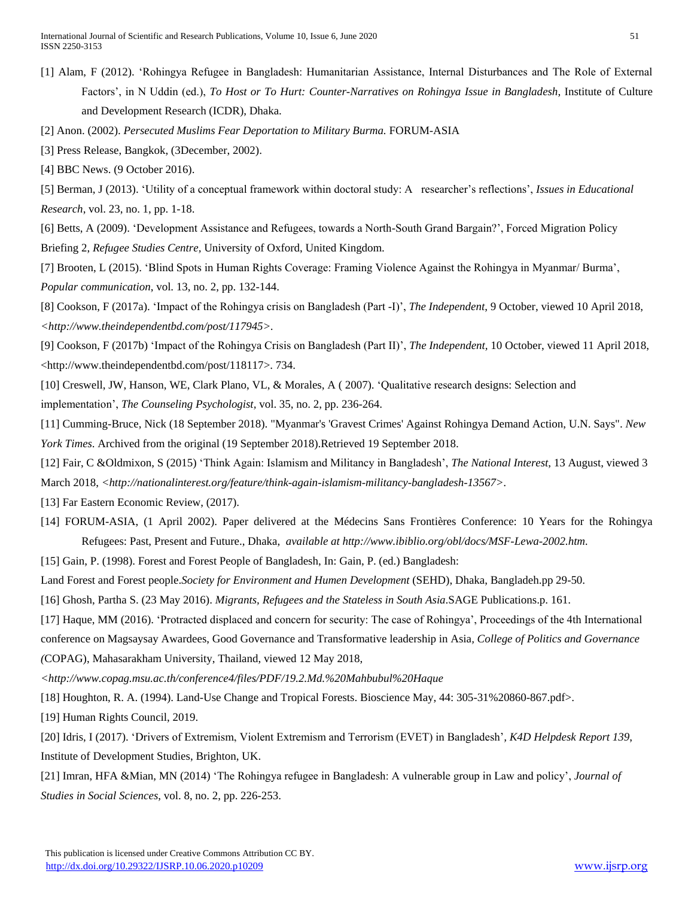[1] Alam, F (2012). 'Rohingya Refugee in Bangladesh: Humanitarian Assistance, Internal Disturbances and The Role of External Factors', in N Uddin (ed.), *To Host or To Hurt: Counter-Narratives on Rohingya Issue in Bangladesh*, Institute of Culture and Development Research (ICDR), Dhaka.

[2] Anon. (2002). *Persecuted Muslims Fear Deportation to Military Burma.* FORUM-ASIA

[3] Press Release, Bangkok, (3December, 2002).

[4] BBC News. (9 October 2016).

[5] Berman, J (2013). 'Utility of a conceptual framework within doctoral study: A researcher's reflections', *Issues in Educational Research*, vol. 23, no. 1, pp. 1-18.

[6] Betts, A (2009). 'Development Assistance and Refugees, towards a North-South Grand Bargain?', Forced Migration Policy Briefing 2, *Refugee Studies Centre,* University of Oxford, United Kingdom.

[7] Brooten, L (2015). 'Blind Spots in Human Rights Coverage: Framing Violence Against the Rohingya in Myanmar/ Burma', *Popular communication*, vol. 13, no. 2, pp. 132-144.

[8] Cookson, F (2017a). 'Impact of the Rohingya crisis on Bangladesh (Part -I)', *The Independent*, 9 October, viewed 10 April 2018, *<http://www.theindependentbd.com/post/117945>.*

[9] Cookson, F (2017b) 'Impact of the Rohingya Crisis on Bangladesh (Part II)', *The Independent,* 10 October, viewed 11 April 2018, <http://www.theindependentbd.com/post/118117>. 734.

[10] Creswell, JW, Hanson, WE, Clark Plano, VL, & Morales, A ( 2007). 'Qualitative research designs: Selection and implementation', *The Counseling Psychologist,* vol. 35, no. 2, pp. 236-264.

[11] Cumming-Bruce, Nick (18 September 2018). ["Myanmar's 'Gravest Crimes' Against Rohingya Demand Action, U.N. Says".](https://www.nytimes.com/2018/09/18/world/asia/myanmar-united-nations-rohingya-genocide.html) *New York Times*. [Archived](https://web.archive.org/web/20180919014433/https:/www.nytimes.com/2018/09/18/world/asia/myanmar-united-nations-rohingya-genocide.html) from the original (19 September 2018).Retrieved 19 September 2018.

[12] Fair, C &Oldmixon, S (2015) 'Think Again: Islamism and Militancy in Bangladesh', *The National Interest*, 13 August, viewed 3 March 2018, *<http://nationalinterest.org/feature/think-again-islamism-militancy-bangladesh-13567>.*

[13] [Far Eastern Economic Review,](https://en.wikipedia.org/wiki/Far_Eastern_Economic_Review) (2017).

[14] FORUM-ASIA, (1 April 2002). Paper delivered at the Médecins Sans Frontières Conference: 10 Years for the Rohingya Refugees: Past, Present and Future., Dhaka, *available at [http://www.ibiblio.org/obl/docs/MSF-Lewa-2002.htm.](http://www.ibiblio.org/obl/docs/MSF-Lewa-2002.htm)*

[15] Gain, P. (1998). Forest and Forest People of Bangladesh, In: Gain, P. (ed.) Bangladesh:

Land Forest and Forest people.*Society for Environment and Humen Development* (SEHD), Dhaka, Bangladeh.pp 29-50.

[16] Ghosh, Partha S. (23 May 2016). *[Migrants, Refugees and the Stateless in South Asia](https://books.google.com/books?id=X242DAAAQBAJ&pg=PA161)*.SAGE Publications.p. 161.

[17] Haque, MM (2016). 'Protracted displaced and concern for security: The case of Rohingya', Proceedings of the 4th International conference on Magsaysay Awardees, Good Governance and Transformative leadership in Asia*, College of Politics and Governance (*COPAG), Mahasarakham University, Thailand, viewed 12 May 2018,

*<http://www.copag.msu.ac.th/conference4/files/PDF/19.2.Md.%20Mahbubul%20Haque*

[18] Houghton, R. A. (1994). Land-Use Change and Tropical Forests. Bioscience May, 44: 305-31%20860-867.pdf>.

[19] Human Rights Council, 2019.

[20] Idris, I (2017). 'Drivers of Extremism, Violent Extremism and Terrorism (EVET) in Bangladesh'*, K4D Helpdesk Report 139*, Institute of Development Studies, Brighton, UK.

[21] Imran, HFA &Mian, MN (2014) 'The Rohingya refugee in Bangladesh: A vulnerable group in Law and policy', *Journal of Studies in Social Sciences*, vol. 8, no. 2, pp. 226-253.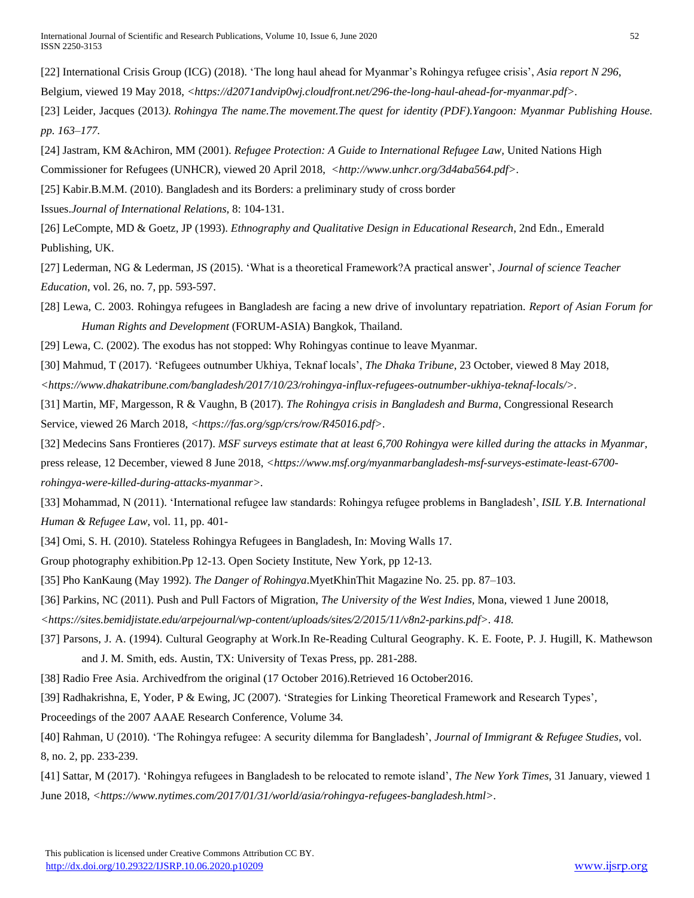[22] International Crisis Group (ICG) (2018). 'The long haul ahead for Myanmar's Rohingya refugee crisis', *Asia report N 296*,

Belgium, viewed 19 May 2018, *<https://d2071andvip0wj.cloudfront.net/296-the-long-haul-ahead-for-myanmar.pdf>.*

[23] Leider, Jacques (2013*). [Rohingya The name.The movement.The quest for identity](http://www.networkmyanmar.org/ESW/Files/Leider-Rohingya.pdf) (PDF).Yangoon: Myanmar Publishing House. pp. 163–177.*

[24] Jastram, KM &Achiron, MM (2001). *Refugee Protection: A Guide to International Refugee Law,* United Nations High Commissioner for Refugees (UNHCR), viewed 20 April 2018, <http://www.unhcr.org/3d4aba564.pdf>.

[25] Kabir.B.M.M. (2010). Bangladesh and its Borders: a preliminary study of cross border

Issues.*Journal of International Relations,* 8: 104-131.

[26] LeCompte, MD & Goetz, JP (1993). *Ethnography and Qualitative Design in Educational Research*, 2nd Edn., Emerald Publishing, UK.

[27] Lederman, NG & Lederman, JS (2015). 'What is a theoretical Framework?A practical answer', *Journal of science Teacher Education*, vol. 26, no. 7, pp. 593-597.

[28] Lewa, C. 2003. Rohingya refugees in Bangladesh are facing a new drive of involuntary repatriation. *Report of Asian Forum for Human Rights and Development* (FORUM-ASIA) Bangkok, Thailand.

[29] Lewa, C. (2002). The exodus has not stopped: Why Rohingyas continue to leave Myanmar.

[30] Mahmud, T (2017). 'Refugees outnumber Ukhiya, Teknaf locals', *The Dhaka Tribune*, 23 October, viewed 8 May 2018, *<https://www.dhakatribune.com/bangladesh/2017/10/23/rohingya-influx-refugees-outnumber-ukhiya-teknaf-locals/>.*

[31] Martin, MF, Margesson, R & Vaughn, B (2017). *The Rohingya crisis in Bangladesh and Burma*, Congressional Research Service, viewed 26 March 2018, <https://fas.org/sgp/crs/row/R45016.pdf>.

[32] Medecins Sans Frontieres (2017). *MSF surveys estimate that at least 6,700 Rohingya were killed during the attacks in Myanmar*, press release, 12 December, viewed 8 June 2018, *<https://www.msf.org/myanmarbangladesh-msf-surveys-estimate-least-6700 rohingya-were-killed-during-attacks-myanmar>.*

[33] Mohammad, N (2011). 'International refugee law standards: Rohingya refugee problems in Bangladesh', *ISIL Y.B. International Human & Refugee Law*, vol. 11, pp. 401-

[34] Omi, S. H. (2010). Stateless Rohingya Refugees in Bangladesh, In: Moving Walls 17.

Group photography exhibition.Pp 12-13. Open Society Institute, New York, pp 12-13.

[35] Pho KanKaung (May 1992). *The Danger of Rohingya*.MyetKhinThit Magazine No. 25. pp. 87–103.

[36] Parkins, NC (2011). Push and Pull Factors of Migration, *The University of the West Indies,* Mona*,* viewed 1 June 20018,

*<https://sites.bemidjistate.edu/arpejournal/wp-content/uploads/sites/2/2015/11/v8n2-parkins.pdf>. 418.*

[37] Parsons, J. A. (1994). Cultural Geography at Work.In Re-Reading Cultural Geography. K. E. Foote, P. J. Hugill, K. Mathewson and J. M. Smith, eds. Austin, TX: University of Texas Press, pp. 281-288.

[38] Radio Free Asia. [Archivedf](https://web.archive.org/web/20161017193227/http:/www.rfa.org/english/news/myanmar/myanmar-army-evacuates-villagers-teachers-from-hostilities-in-maungdaw-10132016150238.html)rom the original (17 October 2016).Retrieved 16 October2016.

[39] Radhakrishna, E, Yoder, P & Ewing, JC (2007). 'Strategies for Linking Theoretical Framework and Research Types'*,* 

Proceedings of the 2007 AAAE Research Conference*,* Volume 34*.*

[40] Rahman, U (2010). 'The Rohingya refugee: A security dilemma for Bangladesh', *Journal of Immigrant & Refugee Studies*, vol. 8, no. 2, pp. 233-239.

[41] Sattar, M (2017). 'Rohingya refugees in Bangladesh to be relocated to remote island', *The New York Times*, 31 January, viewed 1 June 2018, *<https://www.nytimes.com/2017/01/31/world/asia/rohingya-refugees-bangladesh.html>.*